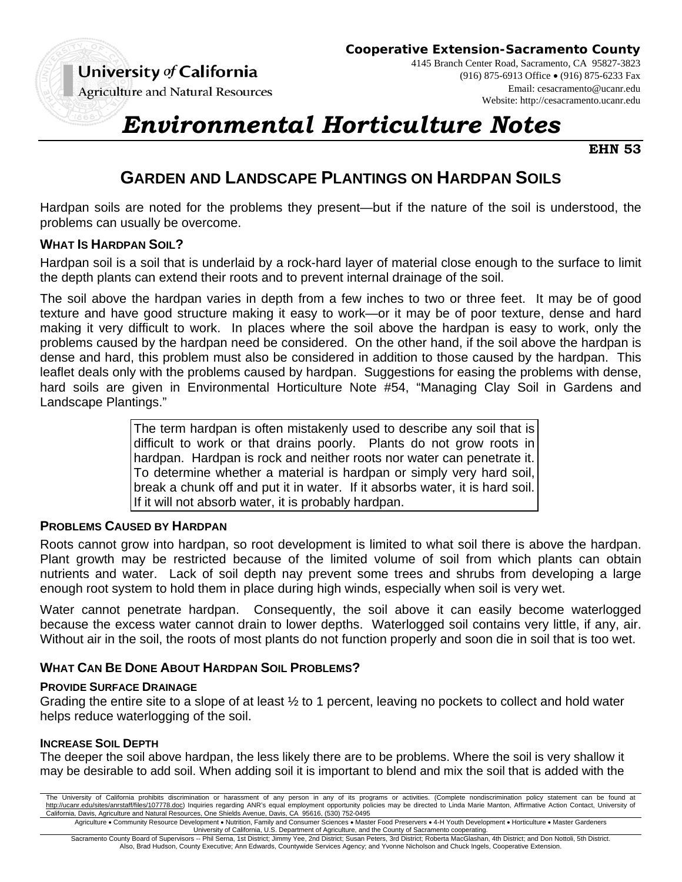University of California

**Cooperative Extension-Sacramento County**

**Agriculture and Natural Resources** 

4145 Branch Center Road, Sacramento, CA 95827-3823 (916) 875-6913 Office (916) 875-6233 Fax Email: cesacramento@ucanr.edu Website: http://cesacramento.ucanr.edu

# *Environmental Horticulture Notes*

**EHN 53** 

# **GARDEN AND LANDSCAPE PLANTINGS ON HARDPAN SOILS**

Hardpan soils are noted for the problems they present—but if the nature of the soil is understood, the problems can usually be overcome.

### **WHAT IS HARDPAN SOIL?**

Hardpan soil is a soil that is underlaid by a rock-hard layer of material close enough to the surface to limit the depth plants can extend their roots and to prevent internal drainage of the soil.

The soil above the hardpan varies in depth from a few inches to two or three feet. It may be of good texture and have good structure making it easy to work—or it may be of poor texture, dense and hard making it very difficult to work. In places where the soil above the hardpan is easy to work, only the problems caused by the hardpan need be considered. On the other hand, if the soil above the hardpan is dense and hard, this problem must also be considered in addition to those caused by the hardpan. This leaflet deals only with the problems caused by hardpan. Suggestions for easing the problems with dense, hard soils are given in Environmental Horticulture Note #54, "Managing Clay Soil in Gardens and Landscape Plantings."

> The term hardpan is often mistakenly used to describe any soil that is difficult to work or that drains poorly. Plants do not grow roots in hardpan. Hardpan is rock and neither roots nor water can penetrate it. To determine whether a material is hardpan or simply very hard soil, break a chunk off and put it in water. If it absorbs water, it is hard soil. If it will not absorb water, it is probably hardpan.

# **PROBLEMS CAUSED BY HARDPAN**

Roots cannot grow into hardpan, so root development is limited to what soil there is above the hardpan. Plant growth may be restricted because of the limited volume of soil from which plants can obtain nutrients and water. Lack of soil depth nay prevent some trees and shrubs from developing a large enough root system to hold them in place during high winds, especially when soil is very wet.

Water cannot penetrate hardpan. Consequently, the soil above it can easily become waterlogged because the excess water cannot drain to lower depths. Waterlogged soil contains very little, if any, air. Without air in the soil, the roots of most plants do not function properly and soon die in soil that is too wet.

# **WHAT CAN BE DONE ABOUT HARDPAN SOIL PROBLEMS?**

#### **PROVIDE SURFACE DRAINAGE**

Grading the entire site to a slope of at least ½ to 1 percent, leaving no pockets to collect and hold water helps reduce waterlogging of the soil.

#### **INCREASE SOIL DEPTH**

The deeper the soil above hardpan, the less likely there are to be problems. Where the soil is very shallow it may be desirable to add soil. When adding soil it is important to blend and mix the soil that is added with the

The University of California prohibits discrimination or harassment of any person in any of its programs or activities. (Complete nondiscrimination policy statement can be found at http://ucanr.edu/sites/anrstaff/files/107778.doc) Inquiries regarding ANR's equal employment opportunity policies may be directed to Linda Marie Manton, Affirmative Action Contact, University of California, Davis, Agriculture and Natural Resources, One Shields Avenue, Davis, CA 95616, (530) 752-0495

Agriculture . Community Resource Development . Nutrition, Family and Consumer Sciences . Master Food Preservers . 4-H Youth Development . Horticulture . Master Gardeners

University of California, U.S. Department of Agriculture, and the County of Sacramento cooperating.<br>Sacramento County Board of Supervisors -- Phil Serna, 1st District; Jimmy Yee, 2nd District; Susan Peters, 3rd District; R Also, Brad Hudson, County Executive; Ann Edwards, Countywide Services Agency; and Yvonne Nicholson and Chuck Ingels, Cooperative Extension.